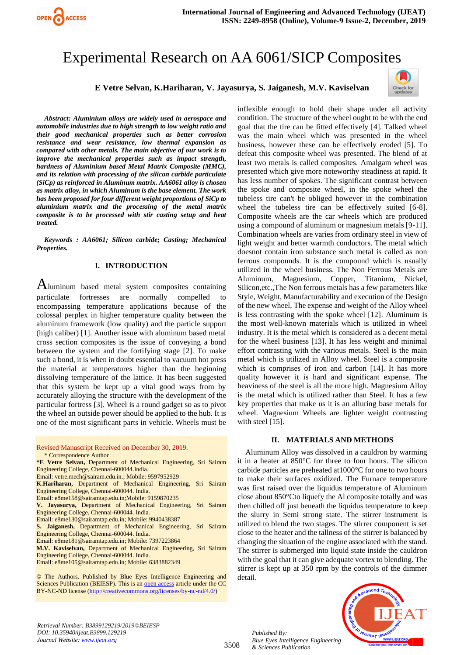

# Experimental Research on AA 6061/SICP Composites

# **E Vetre Selvan, K.Hariharan, V. Jayasurya, S. Jaiganesh, M.V. Kaviselvan**



*Abstract: Aluminium alloys are widely used in aerospace and automobile industries due to high strength to low weight ratio and their good mechanical properties such as better corrosion resistance and wear resistance, low thermal expansion as compared with other metals. The main objective of our work is to improve the mechanical properties such as impact strength, hardness of Aluminium based Metal Matrix Composite (MMC), and its relation with processing of the silicon carbide particulate (SiCp) as reinforced in Aluminum matrix. AA6061 alloy is chosen as matrix alloy, in which Aluminum is the base element. The work has been proposed for four different weight proportions of SiCp to aluminium matrix and the processing of the metal matrix composite is to be processed with stir casting setup and heat treated.*

*Keywords : AA6061; Silicon carbide; Casting; Mechanical Properties.*

#### **I. INTRODUCTION**

Aluminum based metal system composites containing particulate fortresses are normally compelled to encompassing temperature applications because of the colossal perplex in higher temperature quality between the aluminum framework (low quality) and the particle support (high caliber) [1]. Another issue with aluminum based metal cross section composites is the issue of conveying a bond between the system and the fortifying stage [2]. To make such a bond, it is when in doubt essential to vacuum hot press the material at temperatures higher than the beginning dissolving temperature of the lattice. It has been suggested that this system be kept up a vital good ways from by accurately alloying the structure with the development of the particular fortress [3]. Wheel is a round gadget so as to pivot the wheel an outside power should be applied to the hub. It is one of the most significant parts in vehicle. Wheels must be

Revised Manuscript Received on December 30, 2019.

\* Correspondence Author

**\*E Vetre Selvan,** Department of Mechanical Engineering, Sri Sairam Engineering College, Chennai-600044.India.

Email[: vetre.mech@sairam.edu.in.](mailto:vetre.mech@sairam.edu.in); Mobile: 9597952929

**K.Hariharan,** Department of Mechanical Engineering, Sri Sairam Engineering College, Chennai-600044. India.

Email: e8me158@sairamtap.edu.in;Mobile: 9159870235

**V. Jayasurya,** Department of Mechanical Engineering, Sri Sairam Engineering College, Chennai-600044. India.

Email: e8me130@sairamtap.edu.in; Mobile: 9940438387

**S. Jaiganesh,** Department of Mechanical Engineering, Sri Sairam Engineering College, Chennai-600044. India.

Email: e8me181@sairamtap.edu.in; Mobile: 7397223864

**M.V. Kaviselvan,** Department of Mechanical Engineering, Sri Sairam Engineering College, Chennai-600044. India.

Email: e8me105@sairamtap.edu.in; Mobile: 6383882349

© The Authors. Published by Blue Eyes Intelligence Engineering and Sciences Publication (BEIESP). This is a[n open access](https://www.openaccess.nl/en/open-publications) article under the CC BY-NC-ND license [\(http://creativecommons.org/licenses/by-nc-nd/4.0/\)](http://creativecommons.org/licenses/by-nc-nd/4.0/)

inflexible enough to hold their shape under all activity condition. The structure of the wheel ought to be with the end goal that the tire can be fitted effectively [4]. Talked wheel was the main wheel which was presented in the wheel business, however these can be effectively eroded [5]. To defeat this composite wheel was presented. The blend of at least two metals is called composites. Amalgam wheel was presented which give more noteworthy steadiness at rapid. It has less number of spokes. The significant contrast between the spoke and composite wheel, in the spoke wheel the tubeless tire can't be obliged however in the combination wheel the tubeless tire can be effectively suited [6-8]. Composite wheels are the car wheels which are produced using a compound of aluminum or magnesium metals [9-11]. Combination wheels are varies from ordinary steel in view of light weight and better warmth conductors. The metal which doesnot contain iron substance such metal is called as non ferrous compounds. It is the compound which is usually utilized in the wheel business. The Non Ferrous Metals are Aluminum, Magnesium, Copper, Titanium, Nickel, Silicon,etc.,The Non ferrous metals has a few parameters like Style, Weight, Manufacturability and execution of the Design of the new wheel, The expense and weight of the Alloy wheel is less contrasting with the spoke wheel [12]. Aluminum is the most well-known materials which is utilized in wheel industry. It is the metal which is considered as a decent metal for the wheel business [13]. It has less weight and minimal effort contrasting with the various metals. Steel is the main metal which is utilized in Alloy wheel. Steel is a composite which is comprises of iron and carbon [14]. It has more quality however it is hard and significant expense. The heaviness of the steel is all the more high. Magnesium Alloy is the metal which is utilized rather than Steel. It has a few key properties that make us it is an alluring base metals for wheel. Magnesium Wheels are lighter weight contrasting with steel [15].

### **II. MATERIALS AND METHODS**

Aluminum Alloy was dissolved in a cauldron by warming it in a heater at 850°C for three to four hours. The silicon carbide particles are preheated at1000°C for one to two hours to make their surfaces oxidized. The Furnace temperature was first raised over the liquidus temperature of Aluminum close about 850°Cto liquefy the Al composite totally and was then chilled off just beneath the liquidus temperature to keep the slurry in Semi strong state. The stirrer instrument is utilized to blend the two stages. The stirrer component is set close to the heater and the tallness of the stirrer is balanced by changing the situation of the engine associated with the stand. The stirrer is submerged into liquid state inside the cauldron with the goal that it can give adequate vortex to blending. The stirrer is kept up at 350 rpm by the controls of the dimmer detail.



3508

*Published By: Blue Eyes Intelligence Engineering & Sciences Publication* 

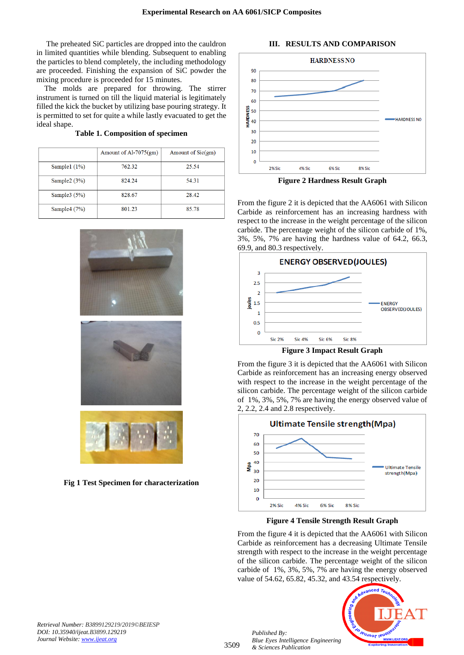The preheated SiC particles are dropped into the cauldron in limited quantities while blending. Subsequent to enabling the particles to blend completely, the including methodology are proceeded. Finishing the expansion of SiC powder the mixing procedure is proceeded for 15 minutes.

The molds are prepared for throwing. The stirrer instrument is turned on till the liquid material is legitimately filled the kick the bucket by utilizing base pouring strategy. It is permitted to set for quite a while lastly evacuated to get the ideal shape.

**Table 1. Composition of specimen**

|                | Amount of Al-7075 $(gm)$ | Amount of $Sic(gm)$ |
|----------------|--------------------------|---------------------|
| Sample1 $(1%)$ | 762.32                   | 25.54               |
| Sample2 $(3%)$ | 824.24                   | 54.31               |
| Sample $3(5%)$ | 828.67                   | 28.42               |
| Sample4 (7%)   | 801.23                   | 85.78               |





**Fig 1 Test Specimen for characterization**



**III. RESULTS AND COMPARISON**

**Figure 2 Hardness Result Graph**

From the figure 2 it is depicted that the AA6061 with Silicon Carbide as reinforcement has an increasing hardness with respect to the increase in the weight percentage of the silicon carbide. The percentage weight of the silicon carbide of 1%, 3%, 5%, 7% are having the hardness value of 64.2, 66.3, 69.9, and 80.3 respectively.



**Figure 3 Impact Result Graph**

From the figure 3 it is depicted that the AA6061 with Silicon Carbide as reinforcement has an increasing energy observed with respect to the increase in the weight percentage of the silicon carbide. The percentage weight of the silicon carbide of 1%, 3%, 5%, 7% are having the energy observed value of 2, 2.2, 2.4 and 2.8 respectively.



**Figure 4 Tensile Strength Result Graph**

From the figure 4 it is depicted that the AA6061 with Silicon Carbide as reinforcement has a decreasing Ultimate Tensile strength with respect to the increase in the weight percentage of the silicon carbide. The percentage weight of the silicon carbide of 1%, 3%, 5%, 7% are having the energy observed value of 54.62, 65.82, 45.32, and 43.54 respectively.



*Retrieval Number: B3899129219/2019©BEIESP DOI: 10.35940/ijeat.B3899.129219 Journal Website[: www.ijeat.org](http://www.ijeat.org/)*

3509

*& Sciences Publication*